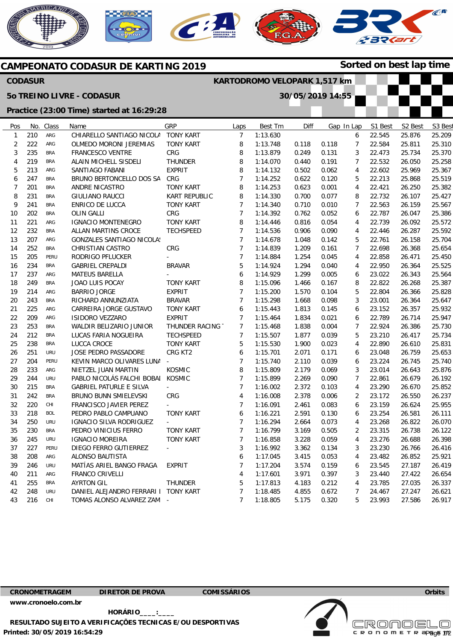







## Pos 1 2 3 4 5 6 7 8 9 10 11 12 13 14 15 16 17 18 19 20 21 22 23 24 25 26 27 28  $29$ 30 31 32 33 34 35 36 37 38 39 40 41 42 No. 210 222 235 219 213 247 201 231 241 202 221 232 207 252 205  $234$ 237 249 214 243 225 209 253 212 238 251 204 233  $244$ 215 242 220 218 250 230 245  $227$ 208 246 211 255 248 Class ARG ARG **BRA** BRA ARG BRA BRA BRA BRA BRA ARG BRA ARG **BRA** PERU **BRA** ARG BRA ARG BRA ARG ARG BRA **BRA** BRA URU PERU ARG URU **BRA BRA** CHI **BOL** URU BRA URU PERU ARG URU ARG **BRA** URU Name CHIARELLO SANTIAGO NICOLA OLMEDO MORONI JEREMIAS FRANCESCO VENTRE ALAIN MICHELL SISDELI SANTIAGO FABANI BRUNO BERTONCELLO DOS SA ANDRE NICASTRO GIULIANO RAUCCI ENRICO DE LUCCA OLIN GALLI IGNACIO MONTENEGRO ALLAN MARTINS CROCE GONZALES SANTIAGO NICOLAS CHRISTIAN CASTRO RODRIGO PFLUCKER GABRIEL CREPALDI MATEUS BARELLA JOAO LUIS POCAY BARRIO JORGE RICHARD ANNUNZIATA CARREIRA JORGE GUSTAVO ISIDORO VEZZARO WALDIR BELIZARIO JUNIOR LUCAS FARIA NOGUEIRA LUCCA CROCE JOSE PEDRO PASSADORE KEVIN MARCO OLIVARES LUNA NIETZEL JUAN MARTIN PABLO NICOLÁS FALCHI BOBAI GABRIEL PATURLE E SILVA BRUNO BUNN SMIELEVSKI FRANCISCO JAVIER PEREZ PEDRO PABLO CAMPUANO IGNACIO SILVA RODRIGUEZ PEDRO VINICIUS FERRO IGNACIO MOREIRA DIEGO FERRO GUTIERREZ ALONSO BAUTISTA MATÍAS ARIEL BANGO FRAGA FRANCO CRIVELLI AYRTON GIL DANIEL ALEJANDRO FERRARI I **GRP** TONY KART TONY KART CRG THUNDER EXPRIT CRG TONY KART KART REPUBLIC TONY KART CRG TONY KART **TECHSPEED** CRG - BRAVAR - TONY KART EXPRIT BRAVAR TONY KART EXPRIT THUNDER RACING T **TECHSPEED** TONY KART CRG KT2 - KOSMIC KOSMIC - CRG - TONY KART - TONY KART TONY KART - EXPRIT **THUNDER** TONY KART Laps 7 8 8 8 8 7 8 8 7 7 8 7 7 7 7 5 6 8 7 7 6 7 7 7 5 6 7 8 7 7 4 7 6 7 7 7 3 6 7 4 5 7 Best Tm 1:13.630 1:13.748 1:13.879 1:14.070 1:14.132 1:14.252 1:14.253 1:14.330 1:14.340 1:14.392 1:14.446 1:14.536 1:14.678 1:14.839 1:14.884 1:14.924 1:14.929 1:15.096 1:15.200 1:15.298 1:15.443 1:15.464 1:15.468 1:15.507 1:15.530 1:15.701 1:15.740 1:15.809 1:15.899 1:16.002 1:16.008 1:16.091 1:16.221 1:16.294 1:16.799 1:16.858 1:16.992 1:17.045 1:17.204 1:17.601 1:17.813 1:18.485 Diff 0.118 0.249 0.440 0.502 0.622 0.623 0.700 0.710 0.762 0.816 0.906 1.048 1.209 1.254 1.294 1.299 1.466 1.570 1.668 1.813 1.834 1.838 1.877 1.900 2.071 2.110 2.179 2.269 2.372 2.378 2.461 2.591 2.664 3.169 3.228 3.362 3.415 3.574 3.971 4.183 4.855 Gap In Lap 0.118 0.131 0.191 0.062 0.120 0.001 0.077 0.010 0.052 0.054 0.090 0.142 0.161 0.045 0.040 0.005 0.167 0.104 0.098 0.145 0.021 0.004 0.039 0.023 0.171 0.039 0.069 0.090 0.103 0.006 0.083 0.130 0.073 0.505 0.059 0.134 0.053 0.159 0.397 0.212 0.672 6 7 3 7 4 5 4 8 7 6 4 4 5 7 4 4 6 8 5 3 6 6 7 5 4 6 6 3 7 4 2 6 6 4 2 4 3 4 6 3 4 7 S1 Best 22.545 22.584 22.473 22.532 22.602 22.213 22.421 22.732 22.563 22.787 22.739 22.446 22.761 22.698 22.858 22.950 23.022 22.822 22.804 23.001 23.152 22.789 22.924 23.210 22.890 23.048 23.224 23.014 22.861 23.290 23.172 23.159 23.254 23.268 23.315 23.276 23.230 23.482 23.545 23.440 23.785 24.467 S2 Best 25.876 25.811 25.734 26.050 25.969 25.868 26.250 26.107 26.159 26.047 26.092 26.287 26.158 26.368 26.471 26.364 26.343 26.268 26.366 26.364 26.357 26.714 26.386 26.417 26.610 26.759 26.745 26.643 26.679 26.670 26.550 26.624 26.581 26.822 26.738 26.688 26.766 26.852 27.187 27.422 27.035 27.247 S<sub>3</sub> Bes 25.209 25.310 25.370 25.258 25.367 25.519 25.382 25.427 25.567 25.386 25.572 25.592 25.704 25.654 25.450 25.525 25.564 25.387 25.828 25.647 25.932 25.947 25.730 25.734 25.831 25.653 25.740 25.876 26.192 25.852 26.237 25.955 26.111 26.070 26.122 26.398 26.416 25.921 26.419 26.654 26.337 26.621 **Sorted on best lap time CAMPEONATO CODASUR DE KARTING 2019 CODASUR 5o TREINO LIVRE - CODASUR Practice (23:00 Time) started at 16:29:28 KARTODROMO VELOPARK 1,517 km 30/05/2019 14:55**

**CRONOMETRAGEM DIRETOR DE PROVA COMISSÁRIOS** 

43

216

CHI

7

1:18.805

5.175

0.320

5

23.993

27.586

**[www.cronoelo.com.br](http://www.cronoelo.com.br)** 

TOMAS ALONSO ALVAREZ ZAM

-

**Printed: 30/05/2019 16:54:29 HORÁRIO\_\_\_\_:\_\_\_\_ RESULTADO SUJEITO A VERIFICAÇÕES TECNICAS E/OU DESPORTIVAS** 



26.917

**Licensed to: Cronoelo**  c R O N O M E T R apg<sub>g</sub>e 172